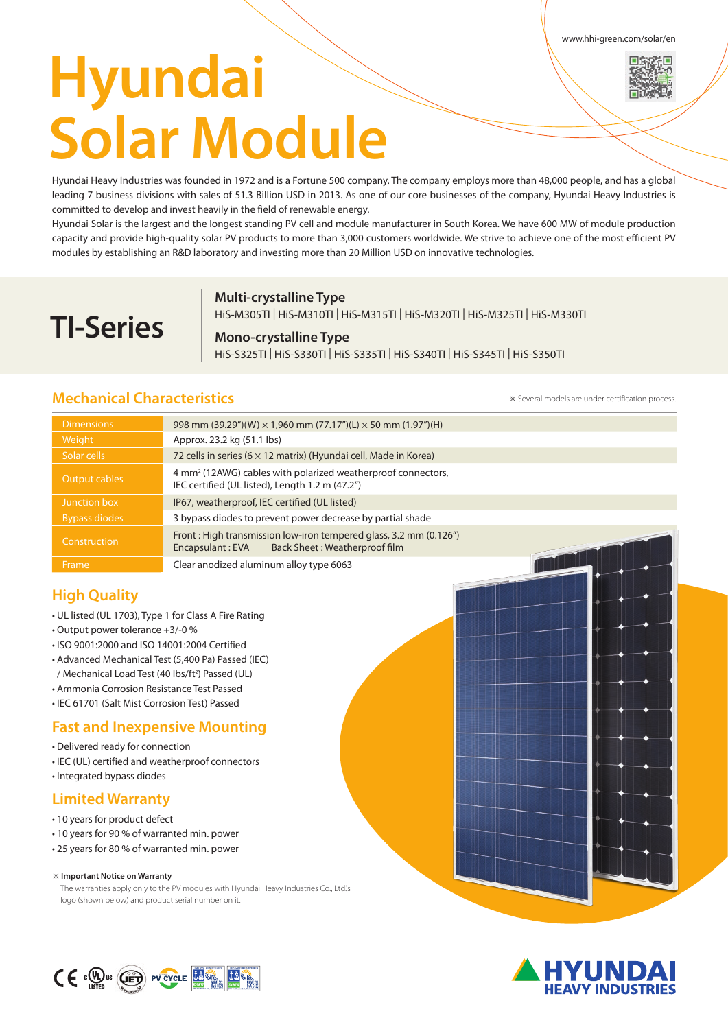www.hhi-green.com/solar/en

# **Hyundai Solar Module**

Hyundai Heavy Industries was founded in 1972 and is a Fortune 500 company. The company employs more than 48,000 people, and has a global leading 7 business divisions with sales of 51.3 Billion USD in 2013. As one of our core businesses of the company, Hyundai Heavy Industries is committed to develop and invest heavily in the field of renewable energy.

Hyundai Solar is the largest and the longest standing PV cell and module manufacturer in South Korea. We have 600 MW of module production capacity and provide high-quality solar PV products to more than 3,000 customers worldwide. We strive to achieve one of the most efficient PV modules by establishing an R&D laboratory and investing more than 20 Million USD on innovative technologies.

## **Multi-crystalline Type**

HiS-M305TI | HiS-M310TI | HiS-M315TI | HiS-M320TI | HiS-M325TI | HiS-M330TI

## **Mono-crystalline Type**

HiS-S325TI | HiS-S330TI | HiS-S335TI | HiS-S340TI | HiS-S345TI | HiS-S350TI

# **Mechanical Characteristics**

**TI-Series**

※ Several models are under certification process.

| <b>Dimensions</b>    | 998 mm (39.29")(W) $\times$ 1,960 mm (77.17")(L) $\times$ 50 mm (1.97")(H)                                                  |  |  |  |
|----------------------|-----------------------------------------------------------------------------------------------------------------------------|--|--|--|
| Weight               | Approx. 23.2 kg (51.1 lbs)                                                                                                  |  |  |  |
| Solar cells          | 72 cells in series (6 × 12 matrix) (Hyundai cell, Made in Korea)                                                            |  |  |  |
| Output cables        | 4 mm <sup>2</sup> (12AWG) cables with polarized weatherproof connectors,<br>IEC certified (UL listed), Length 1.2 m (47.2") |  |  |  |
| Junction box         | IP67, weatherproof, IEC certified (UL listed)                                                                               |  |  |  |
| <b>Bypass diodes</b> | 3 bypass diodes to prevent power decrease by partial shade                                                                  |  |  |  |
| Construction         | Front: High transmission low-iron tempered glass, 3.2 mm (0.126")<br>Back Sheet: Weatherproof film<br>Encapsulant: EVA      |  |  |  |
| Frame                | Clear anodized aluminum alloy type 6063                                                                                     |  |  |  |

# **High Quality**

- UL listed (UL 1703), Type 1 for Class A Fire Rating
- Output power tolerance +3/-0 %
- ISO 9001:2000 and ISO 14001:2004 Certified
- Advanced Mechanical Test (5,400 Pa) Passed (IEC) / Mechanical Load Test (40 lbs/ft<sup>2</sup>) Passed (UL)
- Ammonia Corrosion Resistance Test Passed
- IEC 61701 (Salt Mist Corrosion Test) Passed

# **Fast and Inexpensive Mounting**

- Delivered ready for connection
- IEC (UL) certified and weatherproof connectors
- Integrated bypass diodes

# **Limited Warranty**

- 10 years for product defect
- 10 years for 90 % of warranted min. power
- 25 years for 80 % of warranted min. power

#### ※ **Important Notice on Warranty**

The warranties apply only to the PV modules with Hyundai Heavy Industries Co., Ltd.'s logo (shown below) and product serial number on it.